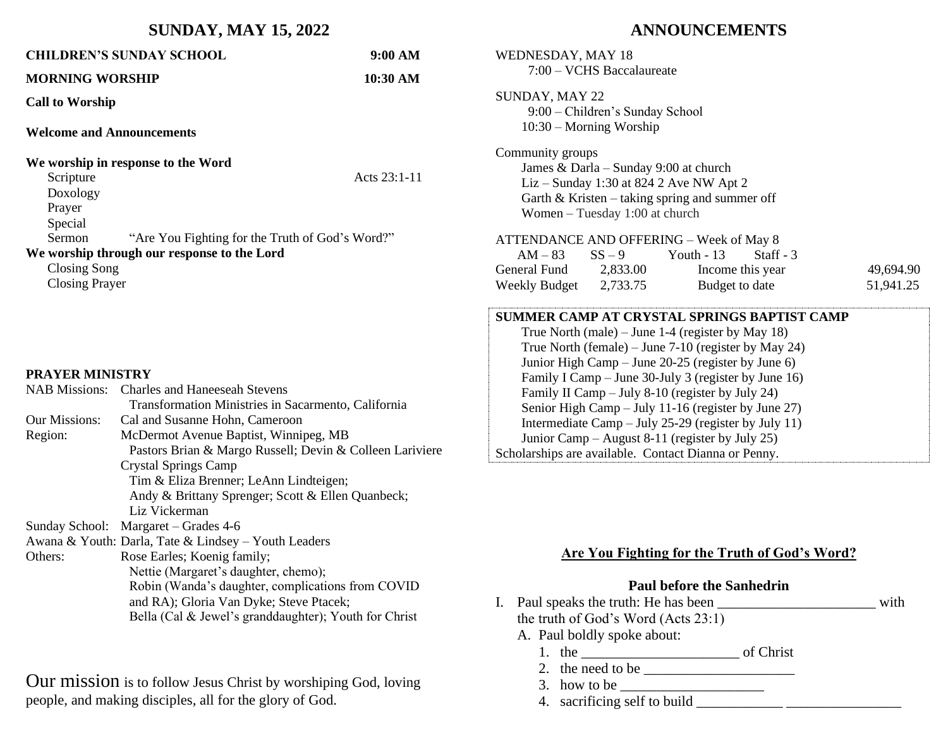## **SUNDAY, MAY 15, 2022**

| <b>CHILDREN'S SUNDAY SCHOOL</b>                           | 9:00 AM        |  |  |  |
|-----------------------------------------------------------|----------------|--|--|--|
| <b>MORNING WORSHIP</b>                                    | 10:30 AM       |  |  |  |
| <b>Call to Worship</b>                                    |                |  |  |  |
| <b>Welcome and Announcements</b>                          |                |  |  |  |
| We worship in response to the Word                        |                |  |  |  |
| Scripture                                                 | Acts $23:1-11$ |  |  |  |
| Doxology                                                  |                |  |  |  |
| Prayer                                                    |                |  |  |  |
| Special                                                   |                |  |  |  |
| Sermon<br>"Are You Fighting for the Truth of God's Word?" |                |  |  |  |
| We worship through our response to the Lord               |                |  |  |  |
| Closing Song                                              |                |  |  |  |
| <b>Closing Prayer</b>                                     |                |  |  |  |

#### **PRAYER MINISTRY**

| <b>NAB</b> Missions: | <b>Charles and Haneeseah Stevens</b>                     |  |
|----------------------|----------------------------------------------------------|--|
|                      | Transformation Ministries in Sacarmento, California      |  |
| <b>Our Missions:</b> | Cal and Susanne Hohn, Cameroon                           |  |
| Region:              | McDermot Avenue Baptist, Winnipeg, MB                    |  |
|                      | Pastors Brian & Margo Russell; Devin & Colleen Lariviere |  |
|                      | <b>Crystal Springs Camp</b>                              |  |
|                      | Tim & Eliza Brenner; LeAnn Lindteigen;                   |  |
|                      | Andy & Brittany Sprenger; Scott & Ellen Quanbeck;        |  |
|                      | Liz Vickerman                                            |  |
|                      | Sunday School: Margaret – Grades 4-6                     |  |
|                      | Awana & Youth: Darla, Tate & Lindsey – Youth Leaders     |  |
| Others:              | Rose Earles; Koenig family;                              |  |
|                      | Nettie (Margaret's daughter, chemo);                     |  |
|                      | Robin (Wanda's daughter, complications from COVID        |  |
|                      | and RA); Gloria Van Dyke; Steve Ptacek;                  |  |
|                      | Bella (Cal & Jewel's granddaughter); Youth for Christ    |  |
|                      |                                                          |  |

Our mission is to follow Jesus Christ by worshiping God, loving people, and making disciples, all for the glory of God.

# **ANNOUNCEMENTS**

| <b>WEDNESDAY, MAY 18</b><br>7:00 - VCHS Baccalaureate                                                                                                                                                                                                                                                                                                                                                                                                                                                                                                |  |                                          |           |  |  |
|------------------------------------------------------------------------------------------------------------------------------------------------------------------------------------------------------------------------------------------------------------------------------------------------------------------------------------------------------------------------------------------------------------------------------------------------------------------------------------------------------------------------------------------------------|--|------------------------------------------|-----------|--|--|
| <b>SUNDAY, MAY 22</b><br>9:00 - Children's Sunday School<br>$10:30$ – Morning Worship                                                                                                                                                                                                                                                                                                                                                                                                                                                                |  |                                          |           |  |  |
| Community groups<br>James & Darla - Sunday 9:00 at church<br>Liz – Sunday 1:30 at 824 2 Ave NW Apt 2<br>Garth $&$ Kristen – taking spring and summer off<br>Women - Tuesday 1:00 at church                                                                                                                                                                                                                                                                                                                                                           |  |                                          |           |  |  |
| ATTENDANCE AND OFFERING - Week of May 8                                                                                                                                                                                                                                                                                                                                                                                                                                                                                                              |  |                                          |           |  |  |
|                                                                                                                                                                                                                                                                                                                                                                                                                                                                                                                                                      |  | $AM-83$ $SS-9$ Youth - 13<br>$Start - 3$ |           |  |  |
| General Fund 2,833.00                                                                                                                                                                                                                                                                                                                                                                                                                                                                                                                                |  | Income this year                         | 49,694.90 |  |  |
| Weekly Budget 2,733.75                                                                                                                                                                                                                                                                                                                                                                                                                                                                                                                               |  | Budget to date                           | 51,941.25 |  |  |
| SUMMER CAMP AT CRYSTAL SPRINGS BAPTIST CAMP<br>True North (male) – June 1-4 (register by May 18)<br>True North (female) – June 7-10 (register by May 24)<br>Junior High Camp – June 20-25 (register by June 6)<br>Family I Camp – June 30-July 3 (register by June 16)<br>Family II Camp – July 8-10 (register by July 24)<br>Senior High Camp - July 11-16 (register by June 27)<br>Intermediate Camp - July 25-29 (register by July 11)<br>Junior Camp – August 8-11 (register by July 25)<br>Scholarships are available. Contact Dianna or Penny. |  |                                          |           |  |  |

## **Are You Fighting for the Truth of God's Word?**

#### **Paul before the Sanhedrin**

- I. Paul speaks the truth: He has been \_\_\_\_\_\_\_\_\_\_\_\_\_\_\_\_\_\_\_\_\_\_ with
	- the truth of God's Word (Acts 23:1)
	- A. Paul boldly spoke about:
		- 1. the  $\frac{1}{2}$  of Christ
		- 2. the need to be  $\overline{\qquad \qquad }$
		- 3. how to be \_\_\_\_\_\_\_\_\_\_\_\_\_\_\_\_\_\_\_\_
		- 4. sacrificing self to build \_\_\_\_\_\_\_\_\_\_\_\_ \_\_\_\_\_\_\_\_\_\_\_\_\_\_\_\_